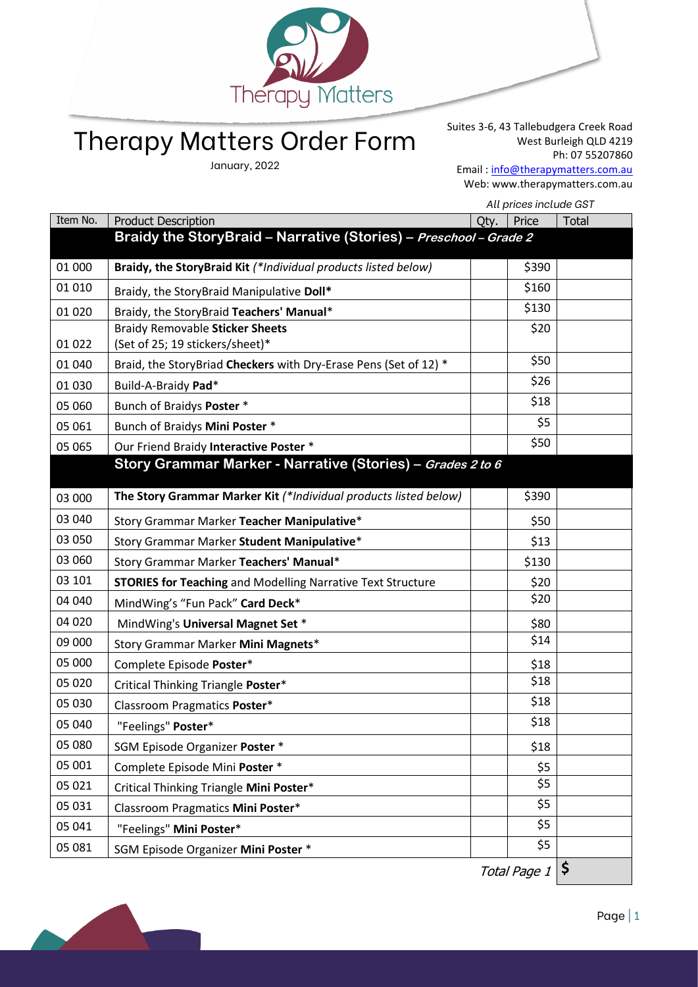

## Therapy Matters Order Form

January, 2022

Suites 3-6, 43 Tallebudgera Creek Road West Burleigh QLD 4219 Ph: 07 55207860 Email : [info@therapymatters.com.au](mailto:info@therapymatters.com.au) Web: www.therapymatters.com.au

| Item No.<br><b>Product Description</b><br>Price<br>Total<br>Qty.<br>Braidy the Story Braid - Narrative (Stories) - Preschool - Grade 2<br>Braidy, the StoryBraid Kit (*Individual products listed below)<br>\$390<br>01 000<br>01 010<br>\$160<br>Braidy, the StoryBraid Manipulative Doll*<br>\$130<br>Braidy, the StoryBraid Teachers' Manual*<br>01 0 20<br><b>Braidy Removable Sticker Sheets</b><br>\$20<br>(Set of 25; 19 stickers/sheet)*<br>01 022<br>\$50<br>Braid, the StoryBriad Checkers with Dry-Erase Pens (Set of 12) *<br>01 040<br>\$26<br>Build-A-Braidy Pad*<br>01 030<br>\$18<br>Bunch of Braidys Poster *<br>05 060<br>\$5<br>Bunch of Braidys Mini Poster *<br>05 061<br>\$50<br>Our Friend Braidy Interactive Poster *<br>05 065<br>Story Grammar Marker - Narrative (Stories) - Grades 2 to 6<br>\$390<br>The Story Grammar Marker Kit (*Individual products listed below)<br>03 000<br>03 040<br>Story Grammar Marker Teacher Manipulative*<br>\$50<br>03 050<br>Story Grammar Marker Student Manipulative*<br>\$13<br>03 060<br>Story Grammar Marker Teachers' Manual*<br>\$130<br>03 101<br><b>STORIES for Teaching and Modelling Narrative Text Structure</b><br>\$20<br>\$20<br>04 040<br>MindWing's "Fun Pack" Card Deck*<br>04 020<br>MindWing's Universal Magnet Set *<br>\$80<br>\$14<br>09 000<br>Story Grammar Marker Mini Magnets*<br>05 000<br>Complete Episode Poster*<br>\$18<br>\$18<br>05 020<br>Critical Thinking Triangle Poster*<br>\$18<br>05 030<br>Classroom Pragmatics Poster*<br>\$18<br>05 040<br>"Feelings" Poster*<br>05 080<br>SGM Episode Organizer Poster *<br>\$18<br>05 001<br>\$5<br>Complete Episode Mini Poster *<br>\$5<br>05 021<br>Critical Thinking Triangle Mini Poster*<br>\$5<br>05 031<br>Classroom Pragmatics Mini Poster*<br>\$5<br>05 041<br>"Feelings" Mini Poster*<br>\$5<br>05 081<br>SGM Episode Organizer Mini Poster * | All prices include GST |  |  |  |
|-----------------------------------------------------------------------------------------------------------------------------------------------------------------------------------------------------------------------------------------------------------------------------------------------------------------------------------------------------------------------------------------------------------------------------------------------------------------------------------------------------------------------------------------------------------------------------------------------------------------------------------------------------------------------------------------------------------------------------------------------------------------------------------------------------------------------------------------------------------------------------------------------------------------------------------------------------------------------------------------------------------------------------------------------------------------------------------------------------------------------------------------------------------------------------------------------------------------------------------------------------------------------------------------------------------------------------------------------------------------------------------------------------------------------------------------------------------------------------------------------------------------------------------------------------------------------------------------------------------------------------------------------------------------------------------------------------------------------------------------------------------------------------------------------------------------------------------------------------------------------------------------------------|------------------------|--|--|--|
|                                                                                                                                                                                                                                                                                                                                                                                                                                                                                                                                                                                                                                                                                                                                                                                                                                                                                                                                                                                                                                                                                                                                                                                                                                                                                                                                                                                                                                                                                                                                                                                                                                                                                                                                                                                                                                                                                                     |                        |  |  |  |
|                                                                                                                                                                                                                                                                                                                                                                                                                                                                                                                                                                                                                                                                                                                                                                                                                                                                                                                                                                                                                                                                                                                                                                                                                                                                                                                                                                                                                                                                                                                                                                                                                                                                                                                                                                                                                                                                                                     |                        |  |  |  |
|                                                                                                                                                                                                                                                                                                                                                                                                                                                                                                                                                                                                                                                                                                                                                                                                                                                                                                                                                                                                                                                                                                                                                                                                                                                                                                                                                                                                                                                                                                                                                                                                                                                                                                                                                                                                                                                                                                     |                        |  |  |  |
|                                                                                                                                                                                                                                                                                                                                                                                                                                                                                                                                                                                                                                                                                                                                                                                                                                                                                                                                                                                                                                                                                                                                                                                                                                                                                                                                                                                                                                                                                                                                                                                                                                                                                                                                                                                                                                                                                                     |                        |  |  |  |
|                                                                                                                                                                                                                                                                                                                                                                                                                                                                                                                                                                                                                                                                                                                                                                                                                                                                                                                                                                                                                                                                                                                                                                                                                                                                                                                                                                                                                                                                                                                                                                                                                                                                                                                                                                                                                                                                                                     |                        |  |  |  |
|                                                                                                                                                                                                                                                                                                                                                                                                                                                                                                                                                                                                                                                                                                                                                                                                                                                                                                                                                                                                                                                                                                                                                                                                                                                                                                                                                                                                                                                                                                                                                                                                                                                                                                                                                                                                                                                                                                     |                        |  |  |  |
|                                                                                                                                                                                                                                                                                                                                                                                                                                                                                                                                                                                                                                                                                                                                                                                                                                                                                                                                                                                                                                                                                                                                                                                                                                                                                                                                                                                                                                                                                                                                                                                                                                                                                                                                                                                                                                                                                                     |                        |  |  |  |
|                                                                                                                                                                                                                                                                                                                                                                                                                                                                                                                                                                                                                                                                                                                                                                                                                                                                                                                                                                                                                                                                                                                                                                                                                                                                                                                                                                                                                                                                                                                                                                                                                                                                                                                                                                                                                                                                                                     |                        |  |  |  |
|                                                                                                                                                                                                                                                                                                                                                                                                                                                                                                                                                                                                                                                                                                                                                                                                                                                                                                                                                                                                                                                                                                                                                                                                                                                                                                                                                                                                                                                                                                                                                                                                                                                                                                                                                                                                                                                                                                     |                        |  |  |  |
|                                                                                                                                                                                                                                                                                                                                                                                                                                                                                                                                                                                                                                                                                                                                                                                                                                                                                                                                                                                                                                                                                                                                                                                                                                                                                                                                                                                                                                                                                                                                                                                                                                                                                                                                                                                                                                                                                                     |                        |  |  |  |
|                                                                                                                                                                                                                                                                                                                                                                                                                                                                                                                                                                                                                                                                                                                                                                                                                                                                                                                                                                                                                                                                                                                                                                                                                                                                                                                                                                                                                                                                                                                                                                                                                                                                                                                                                                                                                                                                                                     |                        |  |  |  |
|                                                                                                                                                                                                                                                                                                                                                                                                                                                                                                                                                                                                                                                                                                                                                                                                                                                                                                                                                                                                                                                                                                                                                                                                                                                                                                                                                                                                                                                                                                                                                                                                                                                                                                                                                                                                                                                                                                     |                        |  |  |  |
|                                                                                                                                                                                                                                                                                                                                                                                                                                                                                                                                                                                                                                                                                                                                                                                                                                                                                                                                                                                                                                                                                                                                                                                                                                                                                                                                                                                                                                                                                                                                                                                                                                                                                                                                                                                                                                                                                                     |                        |  |  |  |
|                                                                                                                                                                                                                                                                                                                                                                                                                                                                                                                                                                                                                                                                                                                                                                                                                                                                                                                                                                                                                                                                                                                                                                                                                                                                                                                                                                                                                                                                                                                                                                                                                                                                                                                                                                                                                                                                                                     |                        |  |  |  |
|                                                                                                                                                                                                                                                                                                                                                                                                                                                                                                                                                                                                                                                                                                                                                                                                                                                                                                                                                                                                                                                                                                                                                                                                                                                                                                                                                                                                                                                                                                                                                                                                                                                                                                                                                                                                                                                                                                     |                        |  |  |  |
|                                                                                                                                                                                                                                                                                                                                                                                                                                                                                                                                                                                                                                                                                                                                                                                                                                                                                                                                                                                                                                                                                                                                                                                                                                                                                                                                                                                                                                                                                                                                                                                                                                                                                                                                                                                                                                                                                                     |                        |  |  |  |
|                                                                                                                                                                                                                                                                                                                                                                                                                                                                                                                                                                                                                                                                                                                                                                                                                                                                                                                                                                                                                                                                                                                                                                                                                                                                                                                                                                                                                                                                                                                                                                                                                                                                                                                                                                                                                                                                                                     |                        |  |  |  |
|                                                                                                                                                                                                                                                                                                                                                                                                                                                                                                                                                                                                                                                                                                                                                                                                                                                                                                                                                                                                                                                                                                                                                                                                                                                                                                                                                                                                                                                                                                                                                                                                                                                                                                                                                                                                                                                                                                     |                        |  |  |  |
|                                                                                                                                                                                                                                                                                                                                                                                                                                                                                                                                                                                                                                                                                                                                                                                                                                                                                                                                                                                                                                                                                                                                                                                                                                                                                                                                                                                                                                                                                                                                                                                                                                                                                                                                                                                                                                                                                                     |                        |  |  |  |
|                                                                                                                                                                                                                                                                                                                                                                                                                                                                                                                                                                                                                                                                                                                                                                                                                                                                                                                                                                                                                                                                                                                                                                                                                                                                                                                                                                                                                                                                                                                                                                                                                                                                                                                                                                                                                                                                                                     |                        |  |  |  |
|                                                                                                                                                                                                                                                                                                                                                                                                                                                                                                                                                                                                                                                                                                                                                                                                                                                                                                                                                                                                                                                                                                                                                                                                                                                                                                                                                                                                                                                                                                                                                                                                                                                                                                                                                                                                                                                                                                     |                        |  |  |  |
|                                                                                                                                                                                                                                                                                                                                                                                                                                                                                                                                                                                                                                                                                                                                                                                                                                                                                                                                                                                                                                                                                                                                                                                                                                                                                                                                                                                                                                                                                                                                                                                                                                                                                                                                                                                                                                                                                                     |                        |  |  |  |
|                                                                                                                                                                                                                                                                                                                                                                                                                                                                                                                                                                                                                                                                                                                                                                                                                                                                                                                                                                                                                                                                                                                                                                                                                                                                                                                                                                                                                                                                                                                                                                                                                                                                                                                                                                                                                                                                                                     |                        |  |  |  |
|                                                                                                                                                                                                                                                                                                                                                                                                                                                                                                                                                                                                                                                                                                                                                                                                                                                                                                                                                                                                                                                                                                                                                                                                                                                                                                                                                                                                                                                                                                                                                                                                                                                                                                                                                                                                                                                                                                     |                        |  |  |  |
|                                                                                                                                                                                                                                                                                                                                                                                                                                                                                                                                                                                                                                                                                                                                                                                                                                                                                                                                                                                                                                                                                                                                                                                                                                                                                                                                                                                                                                                                                                                                                                                                                                                                                                                                                                                                                                                                                                     |                        |  |  |  |
|                                                                                                                                                                                                                                                                                                                                                                                                                                                                                                                                                                                                                                                                                                                                                                                                                                                                                                                                                                                                                                                                                                                                                                                                                                                                                                                                                                                                                                                                                                                                                                                                                                                                                                                                                                                                                                                                                                     |                        |  |  |  |
|                                                                                                                                                                                                                                                                                                                                                                                                                                                                                                                                                                                                                                                                                                                                                                                                                                                                                                                                                                                                                                                                                                                                                                                                                                                                                                                                                                                                                                                                                                                                                                                                                                                                                                                                                                                                                                                                                                     |                        |  |  |  |
|                                                                                                                                                                                                                                                                                                                                                                                                                                                                                                                                                                                                                                                                                                                                                                                                                                                                                                                                                                                                                                                                                                                                                                                                                                                                                                                                                                                                                                                                                                                                                                                                                                                                                                                                                                                                                                                                                                     |                        |  |  |  |
|                                                                                                                                                                                                                                                                                                                                                                                                                                                                                                                                                                                                                                                                                                                                                                                                                                                                                                                                                                                                                                                                                                                                                                                                                                                                                                                                                                                                                                                                                                                                                                                                                                                                                                                                                                                                                                                                                                     |                        |  |  |  |
|                                                                                                                                                                                                                                                                                                                                                                                                                                                                                                                                                                                                                                                                                                                                                                                                                                                                                                                                                                                                                                                                                                                                                                                                                                                                                                                                                                                                                                                                                                                                                                                                                                                                                                                                                                                                                                                                                                     |                        |  |  |  |

Total Page 1 **\$**

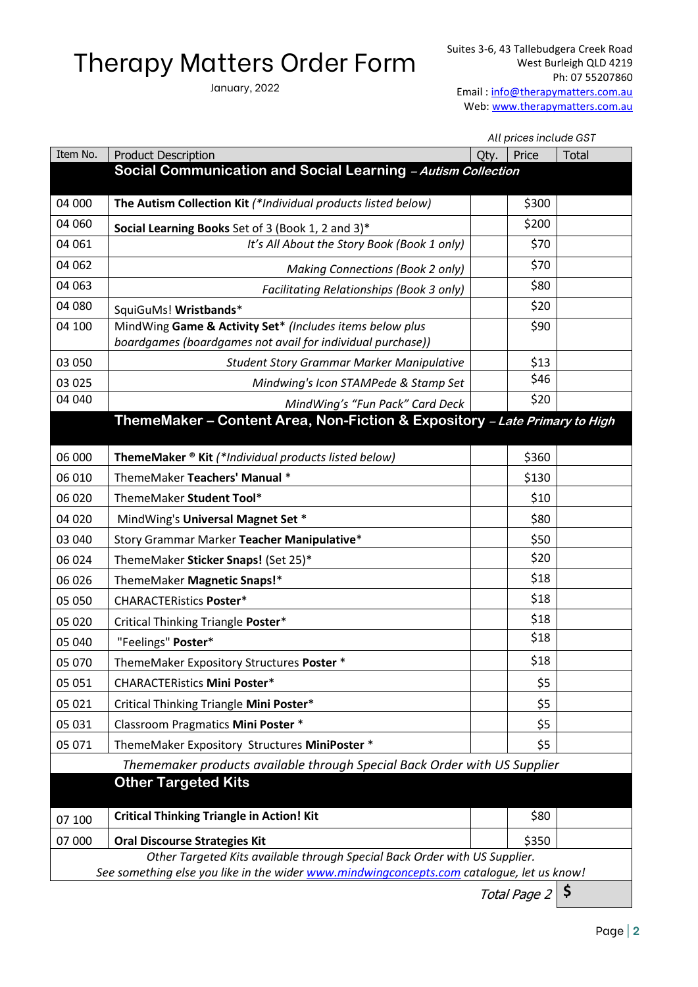## Therapy Matters Order Form

January, 2022

 *All prices include GST*

| Item No.                                                                                                                                                                | <b>Product Description</b>                                                                                             | Qty. | Price | <b>Total</b> |  |
|-------------------------------------------------------------------------------------------------------------------------------------------------------------------------|------------------------------------------------------------------------------------------------------------------------|------|-------|--------------|--|
|                                                                                                                                                                         | Social Communication and Social Learning - Autism Collection                                                           |      |       |              |  |
| 04 000                                                                                                                                                                  | The Autism Collection Kit (*Individual products listed below)                                                          |      | \$300 |              |  |
| 04 060                                                                                                                                                                  | Social Learning Books Set of 3 (Book 1, 2 and 3)*                                                                      |      | \$200 |              |  |
| 04 061                                                                                                                                                                  | It's All About the Story Book (Book 1 only)                                                                            |      | \$70  |              |  |
| 04 062                                                                                                                                                                  | <b>Making Connections (Book 2 only)</b>                                                                                |      | \$70  |              |  |
| 04 063                                                                                                                                                                  | Facilitating Relationships (Book 3 only)                                                                               |      | \$80  |              |  |
| 04 080                                                                                                                                                                  | SquiGuMs! Wristbands*                                                                                                  |      | \$20  |              |  |
| 04 100                                                                                                                                                                  | MindWing Game & Activity Set* (Includes items below plus<br>boardgames (boardgames not avail for individual purchase)) |      | \$90  |              |  |
| 03 050                                                                                                                                                                  | <b>Student Story Grammar Marker Manipulative</b>                                                                       |      | \$13  |              |  |
| 03 025                                                                                                                                                                  | Mindwing's Icon STAMPede & Stamp Set                                                                                   |      | \$46  |              |  |
| 04 040                                                                                                                                                                  | MindWing's "Fun Pack" Card Deck                                                                                        |      | \$20  |              |  |
|                                                                                                                                                                         | ThemeMaker - Content Area, Non-Fiction & Expository - Late Primary to High                                             |      |       |              |  |
| 06 000                                                                                                                                                                  | ThemeMaker ® Kit (*Individual products listed below)                                                                   |      | \$360 |              |  |
| 06 010                                                                                                                                                                  | ThemeMaker Teachers' Manual *                                                                                          |      | \$130 |              |  |
| 06 020                                                                                                                                                                  | ThemeMaker Student Tool*                                                                                               |      | \$10  |              |  |
| 04 020                                                                                                                                                                  | MindWing's Universal Magnet Set *                                                                                      |      | \$80  |              |  |
| 03 040                                                                                                                                                                  | Story Grammar Marker Teacher Manipulative*                                                                             |      | \$50  |              |  |
| 06 024                                                                                                                                                                  | ThemeMaker Sticker Snaps! (Set 25)*                                                                                    |      | \$20  |              |  |
| 06 026                                                                                                                                                                  | ThemeMaker Magnetic Snaps!*                                                                                            |      | \$18  |              |  |
| 05 050                                                                                                                                                                  | <b>CHARACTERistics Poster*</b>                                                                                         |      | \$18  |              |  |
| 05 020                                                                                                                                                                  | Critical Thinking Triangle Poster*                                                                                     |      | \$18  |              |  |
| 05 040                                                                                                                                                                  | "Feelings" Poster*                                                                                                     |      | \$18  |              |  |
| 05 070                                                                                                                                                                  | ThemeMaker Expository Structures Poster *                                                                              |      | \$18  |              |  |
| 05 051                                                                                                                                                                  | <b>CHARACTERistics Mini Poster*</b>                                                                                    |      | \$5   |              |  |
| 05 021                                                                                                                                                                  | Critical Thinking Triangle Mini Poster*                                                                                |      | \$5   |              |  |
| 05 031                                                                                                                                                                  | <b>Classroom Pragmatics Mini Poster *</b>                                                                              |      | \$5   |              |  |
| 05 071                                                                                                                                                                  | ThemeMaker Expository Structures MiniPoster *                                                                          |      | \$5   |              |  |
| Thememaker products available through Special Back Order with US Supplier                                                                                               |                                                                                                                        |      |       |              |  |
|                                                                                                                                                                         | <b>Other Targeted Kits</b>                                                                                             |      |       |              |  |
| 07 100                                                                                                                                                                  | <b>Critical Thinking Triangle in Action! Kit</b>                                                                       |      | \$80  |              |  |
| 07 000                                                                                                                                                                  | <b>Oral Discourse Strategies Kit</b>                                                                                   |      | \$350 |              |  |
| Other Targeted Kits available through Special Back Order with US Supplier.<br>See something else you like in the wider www.mindwingconcepts.com catalogue, let us know! |                                                                                                                        |      |       |              |  |
| \$<br>Total Page 2                                                                                                                                                      |                                                                                                                        |      |       |              |  |